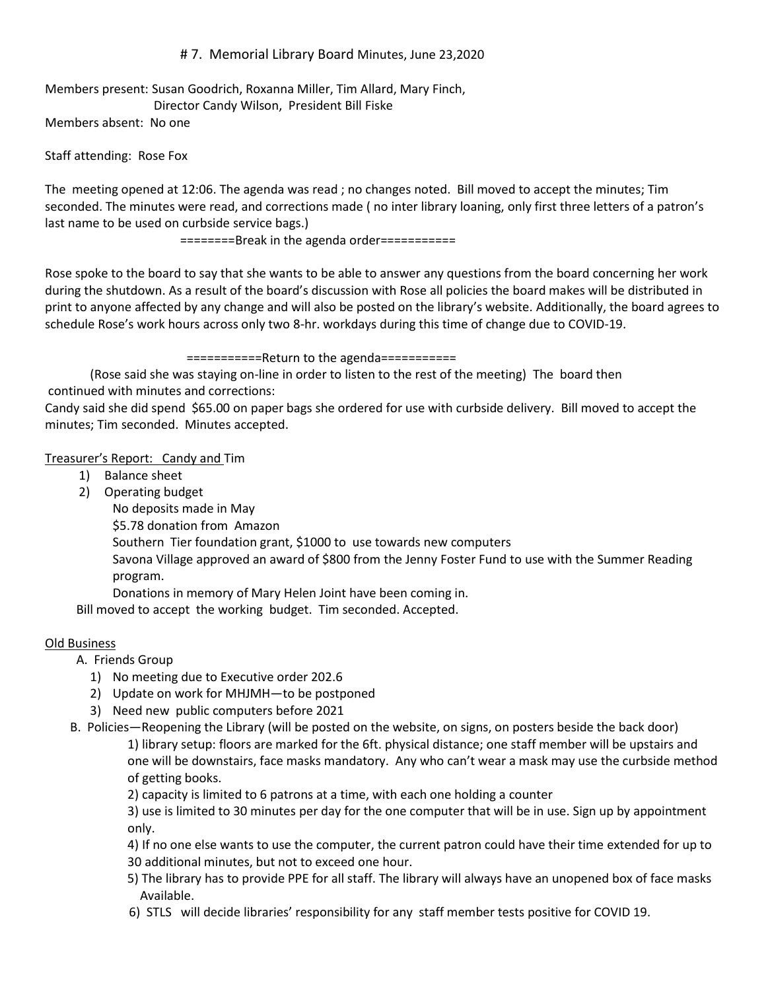# # 7. Memorial Library Board Minutes, June 23,2020

Members present: Susan Goodrich, Roxanna Miller, Tim Allard, Mary Finch, Director Candy Wilson, President Bill Fiske

Members absent: No one

### Staff attending: Rose Fox

The meeting opened at 12:06. The agenda was read ; no changes noted. Bill moved to accept the minutes; Tim seconded. The minutes were read, and corrections made ( no inter library loaning, only first three letters of a patron's last name to be used on curbside service bags.)

========Break in the agenda order===========

Rose spoke to the board to say that she wants to be able to answer any questions from the board concerning her work during the shutdown. As a result of the board's discussion with Rose all policies the board makes will be distributed in print to anyone affected by any change and will also be posted on the library's website. Additionally, the board agrees to schedule Rose's work hours across only two 8-hr. workdays during this time of change due to COVID-19.

===========Return to the agenda===========

(Rose said she was staying on-line in order to listen to the rest of the meeting) The board then continued with minutes and corrections:

Candy said she did spend \$65.00 on paper bags she ordered for use with curbside delivery. Bill moved to accept the minutes; Tim seconded. Minutes accepted.

## Treasurer's Report: Candy and Tim

- 1) Balance sheet
- 2) Operating budget

No deposits made in May

\$5.78 donation from Amazon

Southern Tier foundation grant, \$1000 to use towards new computers

Savona Village approved an award of \$800 from the Jenny Foster Fund to use with the Summer Reading program.

Donations in memory of Mary Helen Joint have been coming in.

Bill moved to accept the working budget. Tim seconded. Accepted.

#### Old Business

A. Friends Group

- 1) No meeting due to Executive order 202.6
- 2) Update on work for MHJMH—to be postponed
- 3) Need new public computers before 2021
- B. Policies—Reopening the Library (will be posted on the website, on signs, on posters beside the back door) 1) library setup: floors are marked for the 6ft. physical distance; one staff member will be upstairs and

one will be downstairs, face masks mandatory. Any who can't wear a mask may use the curbside method of getting books.

2) capacity is limited to 6 patrons at a time, with each one holding a counter

3) use is limited to 30 minutes per day for the one computer that will be in use. Sign up by appointment only.

4) If no one else wants to use the computer, the current patron could have their time extended for up to 30 additional minutes, but not to exceed one hour.

- 5) The library has to provide PPE for all staff. The library will always have an unopened box of face masks Available.
- 6) STLS will decide libraries' responsibility for any staff member tests positive for COVID 19.